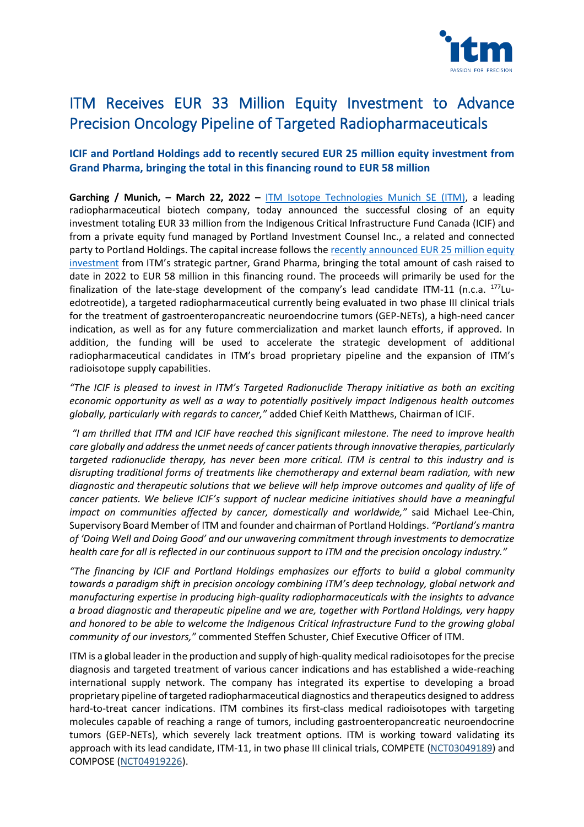

# ITM Receives EUR 33 Million Equity Investment to Advance Precision Oncology Pipeline of Targeted Radiopharmaceuticals

# **ICIF and Portland Holdings add to recently secured EUR 25 million equity investment from Grand Pharma, bringing the total in this financing round to EUR 58 million**

**Garching / Munich, – March 22, 2022 –** [ITM Isotope Technologies Munich SE](https://itm-radiopharma.com/home) (ITM), a leading radiopharmaceutical biotech company, today announced the successful closing of an equity investment totaling EUR 33 million from the Indigenous Critical Infrastructure Fund Canada (ICIF) and from a private equity fund managed by Portland Investment Counsel Inc., a related and connected party to Portland Holdings. The capital increase follows the [recently announced EUR 25](https://itm-radiopharma.com/news/press-releases/press-releases-detail/itm-receives-equity-investment-of-eur-25-million-from-strategic-partner-grand-pharma-1-1-372) million equity [investment](https://itm-radiopharma.com/news/press-releases/press-releases-detail/itm-receives-equity-investment-of-eur-25-million-from-strategic-partner-grand-pharma-1-1-372) from ITM's strategic partner, Grand Pharma, bringing the total amount of cash raised to date in 2022 to EUR 58 million in this financing round. The proceeds will primarily be used for the finalization of the late-stage development of the company's lead candidate ITM-11 (n.c.a.  $^{177}$ Luedotreotide), a targeted radiopharmaceutical currently being evaluated in two phase III clinical trials for the treatment of gastroenteropancreatic neuroendocrine tumors (GEP-NETs), a high-need cancer indication, as well as for any future commercialization and market launch efforts, if approved. In addition, the funding will be used to accelerate the strategic development of additional radiopharmaceutical candidates in ITM's broad proprietary pipeline and the expansion of ITM's radioisotope supply capabilities.

"The ICIF is pleased to invest in ITM's Targeted Radionuclide Therapy initiative as both an exciting *economic opportunity as well as a way to potentially positively impact Indigenous health outcomes globally, particularly with regards to cancer,"* added Chief Keith Matthews, Chairman of ICIF.

*"I am thrilled that ITM and ICIF have reached this significant milestone. The need to improve health care globally and address the unmet needs of cancer patients through innovative therapies, particularly targeted radionuclide therapy, has never been more critical. ITM is central to this industry and is disrupting traditional forms of treatments like chemotherapy and external beam radiation, with new diagnostic and therapeutic solutions that we believe will help improve outcomes and quality of life of cancer patients. We believe ICIF's support of nuclear medicine initiatives should have a meaningful impact on communities affected by cancer, domestically and worldwide,"* said Michael Lee-Chin, Supervisory Board Member of ITM and founder and chairman of Portland Holdings. *"Portland's mantra of 'Doing Well and Doing Good' and our unwavering commitment through investments to democratize health care for all is reflected in our continuous support to ITM and the precision oncology industry."*

*"The financing by ICIF and Portland Holdings emphasizes our efforts to build a global community towards a paradigm shift in precision oncology combining ITM's deep technology, global network and manufacturing expertise in producing high-quality radiopharmaceuticals with the insights to advance a broad diagnostic and therapeutic pipeline and we are, together with Portland Holdings, very happy and honored to be able to welcome the Indigenous Critical Infrastructure Fund to the growing global community of our investors,"* commented Steffen Schuster, Chief Executive Officer of ITM.

ITM is a global leader in the production and supply of high-quality medical radioisotopes for the precise diagnosis and targeted treatment of various cancer indications and has established a wide-reaching international supply network. The company has integrated its expertise to developing a broad proprietary pipeline of targeted radiopharmaceutical diagnostics and therapeutics designed to address hard-to-treat cancer indications. ITM combines its first-class medical radioisotopes with targeting molecules capable of reaching a range of tumors, including gastroenteropancreatic neuroendocrine tumors (GEP-NETs), which severely lack treatment options. ITM is working toward validating its approach with its lead candidate, ITM-11, in two phase III clinical trials, COMPETE [\(NCT03049189\)](https://clinicaltrials.gov/ct2/show/NCT03049189?term=NCT03049189&draw=2&rank=1) and COMPOSE [\(NCT04919226\)](https://clinicaltrials.gov/ct2/show/NCT04919226).